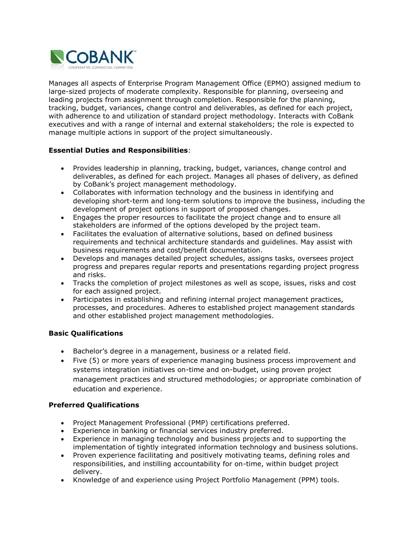

Manages all aspects of Enterprise Program Management Office (EPMO) assigned medium to large-sized projects of moderate complexity. Responsible for planning, overseeing and leading projects from assignment through completion. Responsible for the planning, tracking, budget, variances, change control and deliverables, as defined for each project, with adherence to and utilization of standard project methodology. Interacts with CoBank executives and with a range of internal and external stakeholders; the role is expected to manage multiple actions in support of the project simultaneously.

## **Essential Duties and Responsibilities**:

- Provides leadership in planning, tracking, budget, variances, change control and deliverables, as defined for each project. Manages all phases of delivery, as defined by CoBank's project management methodology.
- Collaborates with information technology and the business in identifying and developing short-term and long-term solutions to improve the business, including the development of project options in support of proposed changes.
- Engages the proper resources to facilitate the project change and to ensure all stakeholders are informed of the options developed by the project team.
- Facilitates the evaluation of alternative solutions, based on defined business requirements and technical architecture standards and guidelines. May assist with business requirements and cost/benefit documentation.
- Develops and manages detailed project schedules, assigns tasks, oversees project progress and prepares regular reports and presentations regarding project progress and risks.
- Tracks the completion of project milestones as well as scope, issues, risks and cost for each assigned project.
- Participates in establishing and refining internal project management practices, processes, and procedures. Adheres to established project management standards and other established project management methodologies.

## **Basic Qualifications**

- Bachelor's degree in a management, business or a related field.
- Five (5) or more years of experience managing business process improvement and systems integration initiatives on-time and on-budget, using proven project management practices and structured methodologies; or appropriate combination of education and experience.

## **Preferred Qualifications**

- Project Management Professional (PMP) certifications preferred.
- Experience in banking or financial services industry preferred.
- Experience in managing technology and business projects and to supporting the implementation of tightly integrated information technology and business solutions.
- Proven experience facilitating and positively motivating teams, defining roles and responsibilities, and instilling accountability for on-time, within budget project delivery.
- Knowledge of and experience using Project Portfolio Management (PPM) tools.